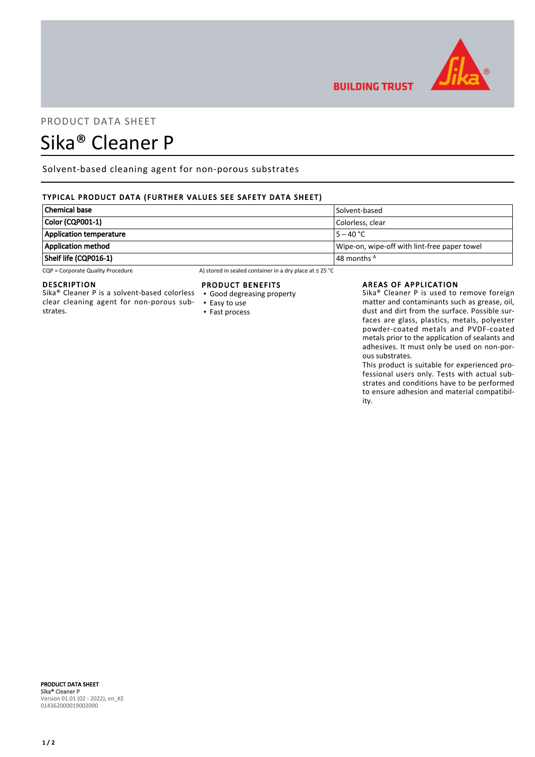

## PRODUCT DATA SHEET

# Sika® Cleaner P

Solvent-based cleaning agent for non-porous substrates

### TYPICAL PRODUCT DATA (FURTHER VALUES SEE SAFETY DATA SHEET)

| <b>Chemical base</b>           | Solvent-based                                |
|--------------------------------|----------------------------------------------|
| Color (CQP001-1)               | Colorless. clear                             |
| <b>Application temperature</b> | $15 - 40 °C$                                 |
| <b>Application method</b>      | Wipe-on, wipe-off with lint-free paper towel |
| Shelf life (CQP016-1)          | $\vert$ 48 months $^{\mathsf{A}}$            |

CQP = Corporate Quality Procedure A) stored in sealed container in a dry place at ≤ 25 °C

#### DESCRIPTION

Sika® Cleaner P is a solvent-based colorless clear cleaning agent for non-porous substrates.

#### PRODUCT BENEFITS

- Good degreasing property
- Easy to use ▪ Fast process

#### AREAS OF APPLICATION

**BUILDING TRUST** 

Sika® Cleaner P is used to remove foreign matter and contaminants such as grease, oil, dust and dirt from the surface. Possible surfaces are glass, plastics, metals, polyester powder-coated metals and PVDF-coated metals prior to the application of sealants and adhesives. It must only be used on non-porous substrates.

This product is suitable for experienced professional users only. Tests with actual substrates and conditions have to be performed to ensure adhesion and material compatibility.

#### PRODUCT DATA SHEET Sika® Cleaner P Version 01.01 (02 - 2022), en\_KE 014362000019002000